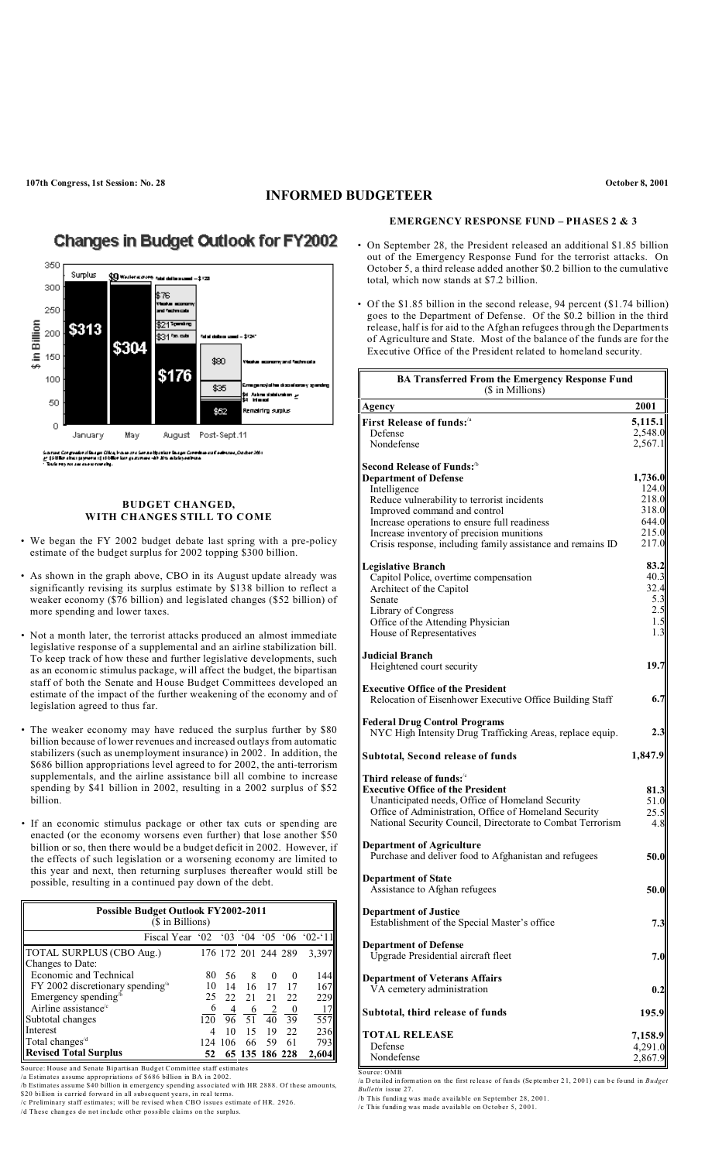## **INFORMED BUDGETEER**

# **Changes in Budget Outlook for FY2002**



### **BUDGET CHANGED, WITH CHANGES STILL TO COME**

- We began the FY 2002 budget debate last spring with a pre-policy estimate of the budget surplus for 2002 topping \$300 billion.
- As shown in the graph above, CBO in its August update already was significantly revising its surplus estimate by \$138 billion to reflect a weaker economy (\$76 billion) and legislated changes (\$52 billion) of more spending and lower taxes.
- Not a month later, the terrorist attacks produced an almost immediate legislative response of a supplemental and an airline stabilization bill. To keep track of how these and further legislative developments, such as an economic stimulus package, will affect the budget, the bipartisan staff of both the Senate and House Budget Committees developed an estimate of the impact of the further weakening of the economy and of legislation agreed to thus far.
- The weaker economy may have reduced the surplus further by \$80 billion because of lower revenues and increased outlays from automatic stabilizers (such as unemployment insurance) in 2002. In addition, the \$686 billion appropriations level agreed to for 2002, the anti-terrorism supplementals, and the airline assistance bill all combine to increase spending by \$41 billion in 2002, resulting in a 2002 surplus of \$52 billion.
- If an economic stimulus package or other tax cuts or spending are enacted (or the economy worsens even further) that lose another \$50 billion or so, then there would be a budget deficit in 2002. However, if the effects of such legislation or a worsening economy are limited to this year and next, then returning surpluses thereafter would still be possible, resulting in a continued pay down of the debt.

| <b>Possible Budget Outlook FY2002-2011</b><br>(\$ in Billions)  |     |     |                     |          |          |       |  |
|-----------------------------------------------------------------|-----|-----|---------------------|----------|----------|-------|--|
| Fiscal Year '02 '03 '04 '05 '06 '02-'11                         |     |     |                     |          |          |       |  |
| TOTAL SURPLUS (CBO Aug.)                                        |     |     | 176 172 201 244 289 |          |          | 3,397 |  |
| Changes to Date:                                                |     |     |                     |          |          |       |  |
| Economic and Technical                                          | 80  | 56  | 8                   | $\theta$ | $\theta$ | 144   |  |
| $FY$ 2002 discretionary spending <sup><math>\alpha</math></sup> | 10  | 14  | 16                  | 17       | 17       | 167   |  |
| Emergency spending <sup>b</sup>                                 | 25  | 22  | 2.1                 | 21       | 22       | 229   |  |
| Airline assistance $\mathrm{e}^{\mathrm{c}}$                    |     | 4   | 6                   | 2        |          | 17    |  |
| Subtotal changes                                                | 120 | 96  | 51                  | 40       | 39       | 557   |  |
| Interest                                                        | 4   | 10  | 15                  | 19       | 22       | 236   |  |
| Total changes <sup>/d</sup>                                     | 124 | 106 | 66                  | 59       | 61       | 793   |  |
| <b>Revised Total Surplus</b>                                    | 52  |     | 65 135 186 228      |          |          | 2,604 |  |

- Source: House and Senate Bipartisan Budget Committee staff estimates<br>
1 a Estimates assume appropriations of \$686 billion in BA in 2002.<br>
1 b Estimates assume \$40 billion in emergency spending associated with HR 2888. Of t
- 

### **EMERGENCY RESPONSE FUND – PHASES 2 & 3**

- On September 28, the President released an additional \$1.85 billion out of the Emergency Response Fund for the terrorist attacks. On October 5, a third release added another \$0.2 billion to the cumulative total, which now stands at \$7.2 billion.
- Of the \$1.85 billion in the second release, 94 percent (\$1.74 billion) goes to the Department of Defense. Of the \$0.2 billion in the third release, half is for aid to the Afghan refugees through the Departments of Agriculture and State. Most of the balance of the funds are for the Executive Office of the President related to homeland security.

| <b>BA Transferred From the Emergency Response Fund</b><br>(\$ in Millions)                           |                |  |  |  |  |
|------------------------------------------------------------------------------------------------------|----------------|--|--|--|--|
| Agency                                                                                               | 2001           |  |  |  |  |
| First Release of funds: <sup>/a</sup>                                                                | 5,115.1        |  |  |  |  |
| Defense                                                                                              | 2,548.0        |  |  |  |  |
| Nondefense                                                                                           | 2,567.1        |  |  |  |  |
| Second Release of Funds: <sup>1b</sup>                                                               |                |  |  |  |  |
| <b>Department of Defense</b>                                                                         | 1,736.0        |  |  |  |  |
| Intelligence                                                                                         | 124.0          |  |  |  |  |
| Reduce vulnerability to terrorist incidents                                                          | 218.0          |  |  |  |  |
| Improved command and control                                                                         | 318.0          |  |  |  |  |
| Increase operations to ensure full readiness                                                         | 644.0<br>215.0 |  |  |  |  |
| Increase inventory of precision munitions                                                            | 217.0          |  |  |  |  |
| Crisis response, including family assistance and remains ID                                          |                |  |  |  |  |
| <b>Legislative Branch</b>                                                                            | 83.2           |  |  |  |  |
| Capitol Police, overtime compensation                                                                | 40.3           |  |  |  |  |
| Architect of the Capitol                                                                             | 32.4           |  |  |  |  |
| Senate                                                                                               | 5.3            |  |  |  |  |
| Library of Congress                                                                                  | 2.5            |  |  |  |  |
| Office of the Attending Physician                                                                    | 1.5            |  |  |  |  |
| House of Representatives                                                                             | 1.3            |  |  |  |  |
| <b>Judicial Branch</b>                                                                               |                |  |  |  |  |
| Heightened court security                                                                            | 19.7           |  |  |  |  |
|                                                                                                      |                |  |  |  |  |
| <b>Executive Office of the President</b><br>Relocation of Eisenhower Executive Office Building Staff | 6.7            |  |  |  |  |
| <b>Federal Drug Control Programs</b><br>NYC High Intensity Drug Trafficking Areas, replace equip.    | 2.3            |  |  |  |  |
| <b>Subtotal, Second release of funds</b>                                                             | 1,847.9        |  |  |  |  |
| Third release of funds: $\mathfrak{c}$                                                               |                |  |  |  |  |
| <b>Executive Office of the President</b>                                                             | 81.3           |  |  |  |  |
| Unanticipated needs, Office of Homeland Security                                                     | 51.0           |  |  |  |  |
| Office of Administration, Office of Homeland Security                                                | 25.5           |  |  |  |  |
| National Security Council, Directorate to Combat Terrorism                                           | 4.8            |  |  |  |  |
| <b>Department of Agriculture</b>                                                                     |                |  |  |  |  |
| Purchase and deliver food to Afghanistan and refugees                                                | 50.0           |  |  |  |  |
|                                                                                                      |                |  |  |  |  |
| <b>Department of State</b>                                                                           |                |  |  |  |  |
| Assistance to Afghan refugees                                                                        | 50.0           |  |  |  |  |
| <b>Department of Justice</b>                                                                         |                |  |  |  |  |
| Establishment of the Special Master's office                                                         | 7.3            |  |  |  |  |
|                                                                                                      |                |  |  |  |  |
| <b>Department of Defense</b>                                                                         |                |  |  |  |  |
| Upgrade Presidential aircraft fleet                                                                  | 7.0            |  |  |  |  |
|                                                                                                      |                |  |  |  |  |
| <b>Department of Veterans Affairs</b><br>VA cemetery administration                                  | 0.2            |  |  |  |  |
|                                                                                                      |                |  |  |  |  |
| Subtotal, third release of funds                                                                     | 195.9          |  |  |  |  |
| <b>TOTAL RELEASE</b>                                                                                 | 7,158.9        |  |  |  |  |
| Defense                                                                                              | 4,291.0        |  |  |  |  |
| Nondefense                                                                                           | 2,867.9        |  |  |  |  |
| Source: OMB                                                                                          |                |  |  |  |  |

/a D eta iled in formatio n on the first re lea se of fun ds (Se ptemb er 2 1, 2 00 1) c an b e found in *Budget Bulletin* issue 27.

/b This funding was made available on September 28, 2001. /c This funding was made available on October 5, 2001.